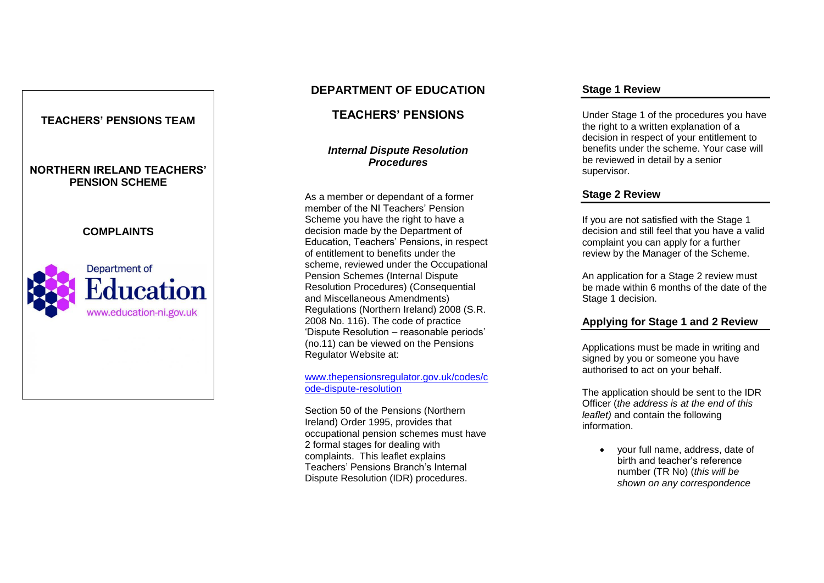

# **DEPARTMENT OF EDUCATION**

**TEACHERS' PENSION S**

# *Internal Dispute Resolution Procedures*

As a member or dependant of a former member of the NI Teachers' Pension Scheme you have the right to have a decision made by the Department of Education, Teachers' Pension s, in respect of entitlement to benefits under the scheme, reviewed under the Occupational Pension Schemes (Internal Dispute Resolution Procedures) (Consequential and Miscellaneous Amendments) Regulations (Northern Ireland) 2008 (S.R. 2008 No. 116). The code of practice 'Dispute Resolution – reasonable periods' (no.11) can be viewed on the Pensions Regulator Website at:

#### [www.thepensionsregulator.gov.uk/codes/c](http://www.thepensionsregulator.gov.uk/codes/code-dispute-resolution) ode-dispute[-resolution](http://www.thepensionsregulator.gov.uk/codes/code-dispute-resolution)

Section 50 of the Pensions (Northern Ireland) Order 1995, provides that occupational pension schemes must have 2 formal stages for dealing with complaints. This leaflet explains<br>Teachers' Pensions Branch's Internal Dispute Resolution (IDR) procedures.

### **Stage 1 Review**

Under Stage 1 of the procedures you have the right to a written explanation of a decision in respect of your entitlement to benefits under the scheme. Your case will be reviewed in detail by a senior supervisor.

# **Stage 2 Review**

If you are not satisfied with the Stage 1 decision and still feel that you have a valid complaint you can apply for a further review by the Manager of the Scheme.

An application for a Stage 2 review must be made within 6 months of the date of the Stage 1 decision.

# **Applying for Stage 1 and 2 Review**

Applications must be made in writing and signed by you or someone you have authorised to act on your behalf.

The application should be sent to the IDR Officer (*the address is at the end of this leaflet)* and contain the following information.

• vour full name, address, date of birth and teacher's reference number (TR No) (*this will be shown on any correspondence*